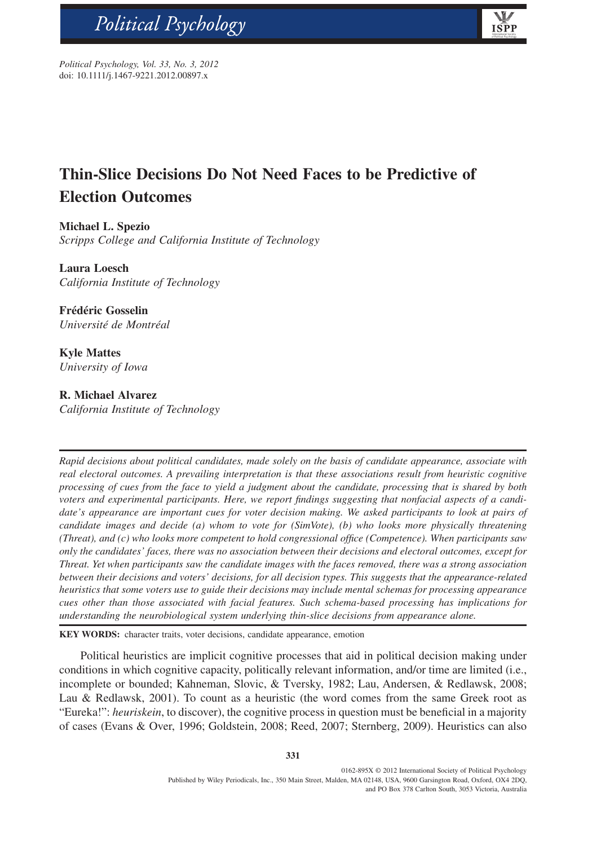# Political Psychology



*Political Psychology, Vol. 33, No. 3, 2012* doi: 10.1111/j.1467-9221.2012.00897.x

bs\_bs\_banner

# **Thin-Slice Decisions Do Not Need Faces to be Predictive of Election Outcomes**

**Michael L. Spezio** *Scripps College and California Institute of Technology*

**Laura Loesch** *California Institute of Technology*

**Frédéric Gosselin** *Université de Montréal*

**Kyle Mattes** *University of Iowa*

# **R. Michael Alvarez**

*California Institute of Technology*

*Rapid decisions about political candidates, made solely on the basis of candidate appearance, associate with real electoral outcomes. A prevailing interpretation is that these associations result from heuristic cognitive processing of cues from the face to yield a judgment about the candidate, processing that is shared by both voters and experimental participants. Here, we report findings suggesting that nonfacial aspects of a candidate's appearance are important cues for voter decision making. We asked participants to look at pairs of candidate images and decide (a) whom to vote for (SimVote), (b) who looks more physically threatening (Threat), and (c) who looks more competent to hold congressional office (Competence). When participants saw only the candidates' faces, there was no association between their decisions and electoral outcomes, except for Threat. Yet when participants saw the candidate images with the faces removed, there was a strong association between their decisions and voters' decisions, for all decision types. This suggests that the appearance-related heuristics that some voters use to guide their decisions may include mental schemas for processing appearance cues other than those associated with facial features. Such schema-based processing has implications for understanding the neurobiological system underlying thin-slice decisions from appearance alone.*

**KEY WORDS:** character traits, voter decisions, candidate appearance, emotion

Political heuristics are implicit cognitive processes that aid in political decision making under conditions in which cognitive capacity, politically relevant information, and/or time are limited (i.e., incomplete or bounded; Kahneman, Slovic, & Tversky, 1982; Lau, Andersen, & Redlawsk, 2008; Lau & Redlawsk, 2001). To count as a heuristic (the word comes from the same Greek root as "Eureka!": *heuriskein*, to discover), the cognitive process in question must be beneficial in a majority of cases (Evans & Over, 1996; Goldstein, 2008; Reed, 2007; Sternberg, 2009). Heuristics can also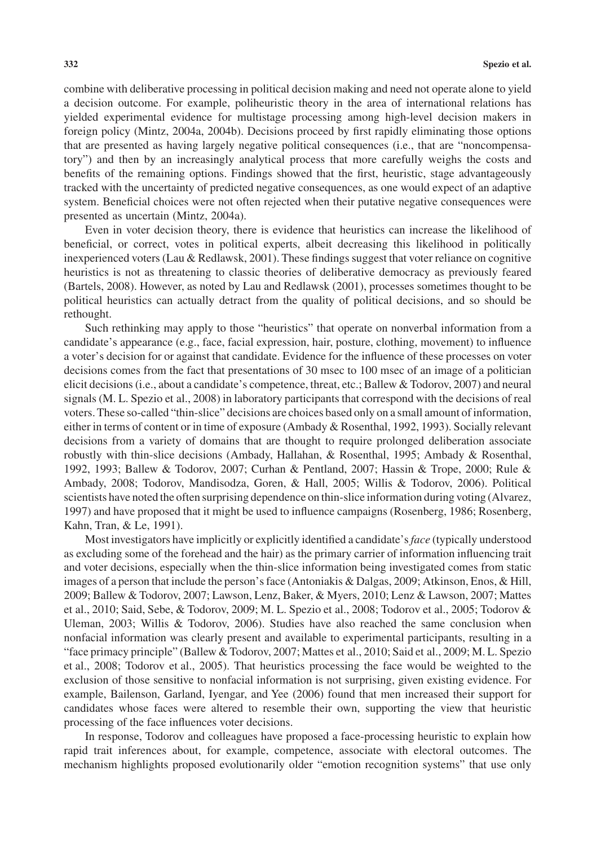combine with deliberative processing in political decision making and need not operate alone to yield a decision outcome. For example, poliheuristic theory in the area of international relations has yielded experimental evidence for multistage processing among high-level decision makers in foreign policy (Mintz, 2004a, 2004b). Decisions proceed by first rapidly eliminating those options that are presented as having largely negative political consequences (i.e., that are "noncompensatory") and then by an increasingly analytical process that more carefully weighs the costs and benefits of the remaining options. Findings showed that the first, heuristic, stage advantageously tracked with the uncertainty of predicted negative consequences, as one would expect of an adaptive system. Beneficial choices were not often rejected when their putative negative consequences were presented as uncertain (Mintz, 2004a).

Even in voter decision theory, there is evidence that heuristics can increase the likelihood of beneficial, or correct, votes in political experts, albeit decreasing this likelihood in politically inexperienced voters (Lau & Redlawsk, 2001). These findings suggest that voter reliance on cognitive heuristics is not as threatening to classic theories of deliberative democracy as previously feared (Bartels, 2008). However, as noted by Lau and Redlawsk (2001), processes sometimes thought to be political heuristics can actually detract from the quality of political decisions, and so should be rethought.

Such rethinking may apply to those "heuristics" that operate on nonverbal information from a candidate's appearance (e.g., face, facial expression, hair, posture, clothing, movement) to influence a voter's decision for or against that candidate. Evidence for the influence of these processes on voter decisions comes from the fact that presentations of 30 msec to 100 msec of an image of a politician elicit decisions (i.e., about a candidate's competence, threat, etc.; Ballew & Todorov, 2007) and neural signals (M. L. Spezio et al., 2008) in laboratory participants that correspond with the decisions of real voters. These so-called "thin-slice" decisions are choices based only on a small amount of information, either in terms of content or in time of exposure (Ambady & Rosenthal, 1992, 1993). Socially relevant decisions from a variety of domains that are thought to require prolonged deliberation associate robustly with thin-slice decisions (Ambady, Hallahan, & Rosenthal, 1995; Ambady & Rosenthal, 1992, 1993; Ballew & Todorov, 2007; Curhan & Pentland, 2007; Hassin & Trope, 2000; Rule & Ambady, 2008; Todorov, Mandisodza, Goren, & Hall, 2005; Willis & Todorov, 2006). Political scientists have noted the often surprising dependence on thin-slice information during voting (Alvarez, 1997) and have proposed that it might be used to influence campaigns (Rosenberg, 1986; Rosenberg, Kahn, Tran, & Le, 1991).

Most investigators have implicitly or explicitly identified a candidate's*face* (typically understood as excluding some of the forehead and the hair) as the primary carrier of information influencing trait and voter decisions, especially when the thin-slice information being investigated comes from static images of a person that include the person's face (Antoniakis & Dalgas, 2009; Atkinson, Enos, & Hill, 2009; Ballew & Todorov, 2007; Lawson, Lenz, Baker, & Myers, 2010; Lenz & Lawson, 2007; Mattes et al., 2010; Said, Sebe, & Todorov, 2009; M. L. Spezio et al., 2008; Todorov et al., 2005; Todorov & Uleman, 2003; Willis & Todorov, 2006). Studies have also reached the same conclusion when nonfacial information was clearly present and available to experimental participants, resulting in a "face primacy principle" (Ballew & Todorov, 2007; Mattes et al., 2010; Said et al., 2009; M. L. Spezio et al., 2008; Todorov et al., 2005). That heuristics processing the face would be weighted to the exclusion of those sensitive to nonfacial information is not surprising, given existing evidence. For example, Bailenson, Garland, Iyengar, and Yee (2006) found that men increased their support for candidates whose faces were altered to resemble their own, supporting the view that heuristic processing of the face influences voter decisions.

In response, Todorov and colleagues have proposed a face-processing heuristic to explain how rapid trait inferences about, for example, competence, associate with electoral outcomes. The mechanism highlights proposed evolutionarily older "emotion recognition systems" that use only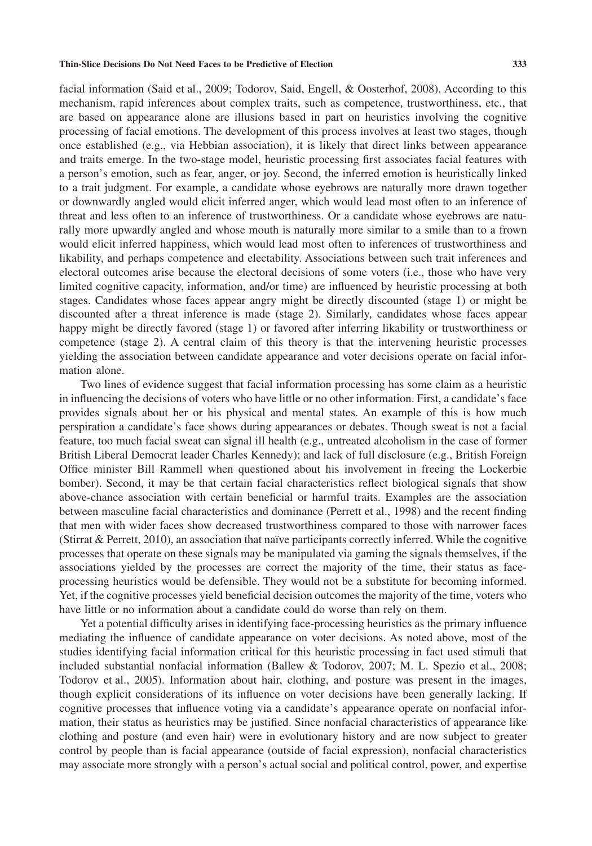facial information (Said et al., 2009; Todorov, Said, Engell, & Oosterhof, 2008). According to this mechanism, rapid inferences about complex traits, such as competence, trustworthiness, etc., that are based on appearance alone are illusions based in part on heuristics involving the cognitive processing of facial emotions. The development of this process involves at least two stages, though once established (e.g., via Hebbian association), it is likely that direct links between appearance and traits emerge. In the two-stage model, heuristic processing first associates facial features with a person's emotion, such as fear, anger, or joy. Second, the inferred emotion is heuristically linked to a trait judgment. For example, a candidate whose eyebrows are naturally more drawn together or downwardly angled would elicit inferred anger, which would lead most often to an inference of threat and less often to an inference of trustworthiness. Or a candidate whose eyebrows are naturally more upwardly angled and whose mouth is naturally more similar to a smile than to a frown would elicit inferred happiness, which would lead most often to inferences of trustworthiness and likability, and perhaps competence and electability. Associations between such trait inferences and electoral outcomes arise because the electoral decisions of some voters (i.e., those who have very limited cognitive capacity, information, and/or time) are influenced by heuristic processing at both stages. Candidates whose faces appear angry might be directly discounted (stage 1) or might be discounted after a threat inference is made (stage 2). Similarly, candidates whose faces appear happy might be directly favored (stage 1) or favored after inferring likability or trustworthiness or competence (stage 2). A central claim of this theory is that the intervening heuristic processes yielding the association between candidate appearance and voter decisions operate on facial information alone.

Two lines of evidence suggest that facial information processing has some claim as a heuristic in influencing the decisions of voters who have little or no other information. First, a candidate's face provides signals about her or his physical and mental states. An example of this is how much perspiration a candidate's face shows during appearances or debates. Though sweat is not a facial feature, too much facial sweat can signal ill health (e.g., untreated alcoholism in the case of former British Liberal Democrat leader Charles Kennedy); and lack of full disclosure (e.g., British Foreign Office minister Bill Rammell when questioned about his involvement in freeing the Lockerbie bomber). Second, it may be that certain facial characteristics reflect biological signals that show above-chance association with certain beneficial or harmful traits. Examples are the association between masculine facial characteristics and dominance (Perrett et al., 1998) and the recent finding that men with wider faces show decreased trustworthiness compared to those with narrower faces (Stirrat & Perrett, 2010), an association that naïve participants correctly inferred. While the cognitive processes that operate on these signals may be manipulated via gaming the signals themselves, if the associations yielded by the processes are correct the majority of the time, their status as faceprocessing heuristics would be defensible. They would not be a substitute for becoming informed. Yet, if the cognitive processes yield beneficial decision outcomes the majority of the time, voters who have little or no information about a candidate could do worse than rely on them.

Yet a potential difficulty arises in identifying face-processing heuristics as the primary influence mediating the influence of candidate appearance on voter decisions. As noted above, most of the studies identifying facial information critical for this heuristic processing in fact used stimuli that included substantial nonfacial information (Ballew & Todorov, 2007; M. L. Spezio et al., 2008; Todorov et al., 2005). Information about hair, clothing, and posture was present in the images, though explicit considerations of its influence on voter decisions have been generally lacking. If cognitive processes that influence voting via a candidate's appearance operate on nonfacial information, their status as heuristics may be justified. Since nonfacial characteristics of appearance like clothing and posture (and even hair) were in evolutionary history and are now subject to greater control by people than is facial appearance (outside of facial expression), nonfacial characteristics may associate more strongly with a person's actual social and political control, power, and expertise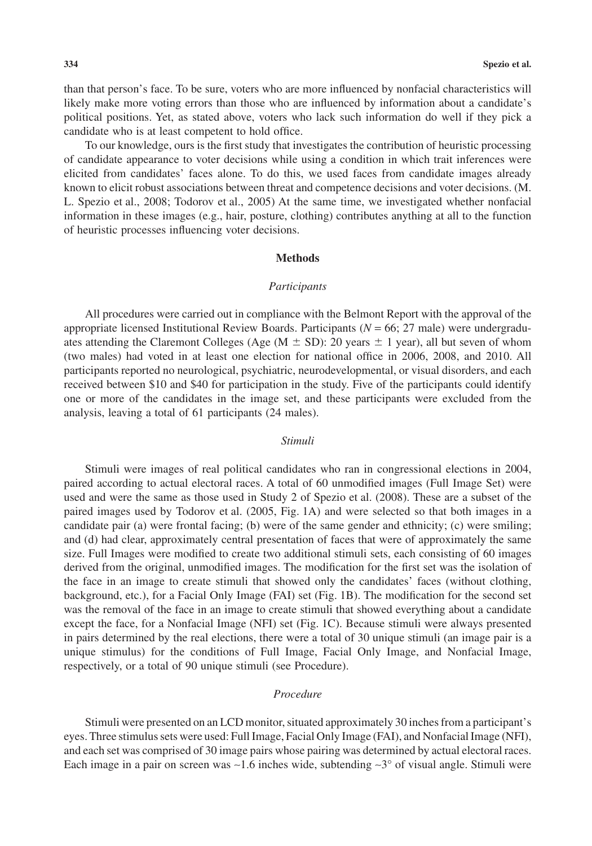than that person's face. To be sure, voters who are more influenced by nonfacial characteristics will likely make more voting errors than those who are influenced by information about a candidate's political positions. Yet, as stated above, voters who lack such information do well if they pick a candidate who is at least competent to hold office.

To our knowledge, ours is the first study that investigates the contribution of heuristic processing of candidate appearance to voter decisions while using a condition in which trait inferences were elicited from candidates' faces alone. To do this, we used faces from candidate images already known to elicit robust associations between threat and competence decisions and voter decisions. (M. L. Spezio et al., 2008; Todorov et al., 2005) At the same time, we investigated whether nonfacial information in these images (e.g., hair, posture, clothing) contributes anything at all to the function of heuristic processes influencing voter decisions.

#### **Methods**

#### *Participants*

All procedures were carried out in compliance with the Belmont Report with the approval of the appropriate licensed Institutional Review Boards. Participants ( $N = 66$ ; 27 male) were undergraduates attending the Claremont Colleges (Age ( $M \pm SD$ ): 20 years  $\pm 1$  year), all but seven of whom (two males) had voted in at least one election for national office in 2006, 2008, and 2010. All participants reported no neurological, psychiatric, neurodevelopmental, or visual disorders, and each received between \$10 and \$40 for participation in the study. Five of the participants could identify one or more of the candidates in the image set, and these participants were excluded from the analysis, leaving a total of 61 participants (24 males).

## *Stimuli*

Stimuli were images of real political candidates who ran in congressional elections in 2004, paired according to actual electoral races. A total of 60 unmodified images (Full Image Set) were used and were the same as those used in Study 2 of Spezio et al. (2008). These are a subset of the paired images used by Todorov et al. (2005, Fig. 1A) and were selected so that both images in a candidate pair (a) were frontal facing; (b) were of the same gender and ethnicity; (c) were smiling; and (d) had clear, approximately central presentation of faces that were of approximately the same size. Full Images were modified to create two additional stimuli sets, each consisting of 60 images derived from the original, unmodified images. The modification for the first set was the isolation of the face in an image to create stimuli that showed only the candidates' faces (without clothing, background, etc.), for a Facial Only Image (FAI) set (Fig. 1B). The modification for the second set was the removal of the face in an image to create stimuli that showed everything about a candidate except the face, for a Nonfacial Image (NFI) set (Fig. 1C). Because stimuli were always presented in pairs determined by the real elections, there were a total of 30 unique stimuli (an image pair is a unique stimulus) for the conditions of Full Image, Facial Only Image, and Nonfacial Image, respectively, or a total of 90 unique stimuli (see Procedure).

## *Procedure*

Stimuli were presented on an LCD monitor, situated approximately 30 inches from a participant's eyes. Three stimulus sets were used: Full Image, Facial Only Image (FAI), and Nonfacial Image (NFI), and each set was comprised of 30 image pairs whose pairing was determined by actual electoral races. Each image in a pair on screen was  $\sim$  1.6 inches wide, subtending  $\sim$  3 $\degree$  of visual angle. Stimuli were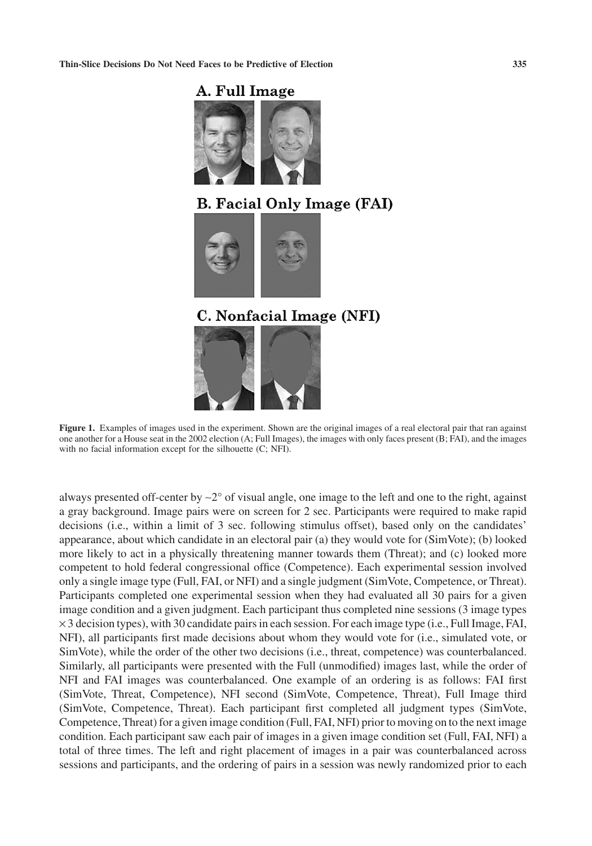# A. Full Image

# **B. Facial Only Image (FAI)**



C. Nonfacial Image (NFI)



**Figure 1.** Examples of images used in the experiment. Shown are the original images of a real electoral pair that ran against one another for a House seat in the 2002 election (A; Full Images), the images with only faces present (B; FAI), and the images with no facial information except for the silhouette (C; NFI).

always presented off-center by  $\sim$   $2^{\circ}$  of visual angle, one image to the left and one to the right, against a gray background. Image pairs were on screen for 2 sec. Participants were required to make rapid decisions (i.e., within a limit of 3 sec. following stimulus offset), based only on the candidates' appearance, about which candidate in an electoral pair (a) they would vote for (SimVote); (b) looked more likely to act in a physically threatening manner towards them (Threat); and (c) looked more competent to hold federal congressional office (Competence). Each experimental session involved only a single image type (Full, FAI, or NFI) and a single judgment (SimVote, Competence, or Threat). Participants completed one experimental session when they had evaluated all 30 pairs for a given image condition and a given judgment. Each participant thus completed nine sessions (3 image types ¥ 3 decision types), with 30 candidate pairs in each session. For each image type (i.e., Full Image, FAI, NFI), all participants first made decisions about whom they would vote for (i.e., simulated vote, or SimVote), while the order of the other two decisions (i.e., threat, competence) was counterbalanced. Similarly, all participants were presented with the Full (unmodified) images last, while the order of NFI and FAI images was counterbalanced. One example of an ordering is as follows: FAI first (SimVote, Threat, Competence), NFI second (SimVote, Competence, Threat), Full Image third (SimVote, Competence, Threat). Each participant first completed all judgment types (SimVote, Competence, Threat) for a given image condition (Full, FAI, NFI) prior to moving on to the next image condition. Each participant saw each pair of images in a given image condition set (Full, FAI, NFI) a total of three times. The left and right placement of images in a pair was counterbalanced across sessions and participants, and the ordering of pairs in a session was newly randomized prior to each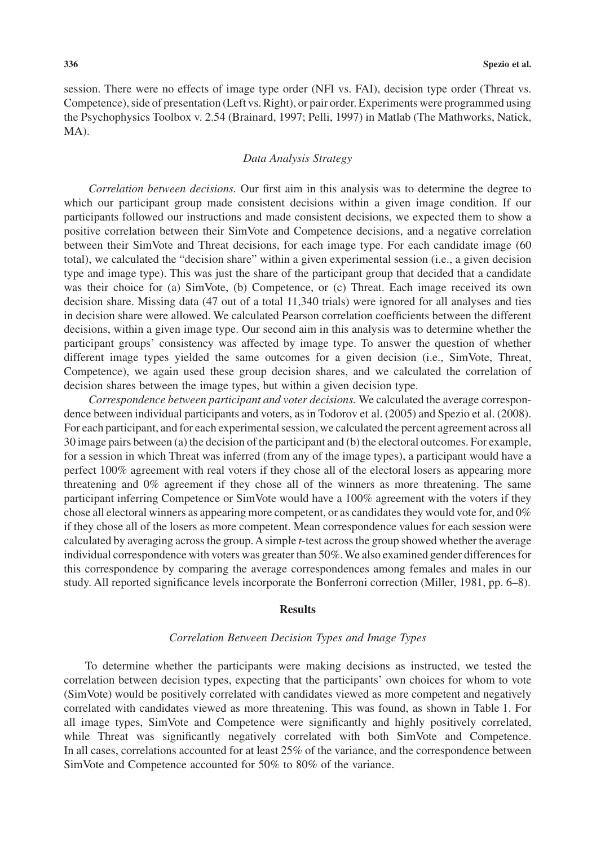session. There were no effects of image type order (NFI vs. FAI), decision type order (Threat vs. Competence), side of presentation (Left vs. Right), or pair order. Experiments were programmed using the Psychophysics Toolbox v. 2.54 (Brainard, 1997; Pelli, 1997) in Matlab (The Mathworks, Natick, MA).

#### *Data Analysis Strategy*

*Correlation between decisions.* Our first aim in this analysis was to determine the degree to which our participant group made consistent decisions within a given image condition. If our participants followed our instructions and made consistent decisions, we expected them to show a positive correlation between their SimVote and Competence decisions, and a negative correlation between their SimVote and Threat decisions, for each image type. For each candidate image (60 total), we calculated the "decision share" within a given experimental session (i.e., a given decision type and image type). This was just the share of the participant group that decided that a candidate was their choice for (a) SimVote, (b) Competence, or (c) Threat. Each image received its own decision share. Missing data (47 out of a total 11,340 trials) were ignored for all analyses and ties in decision share were allowed. We calculated Pearson correlation coefficients between the different decisions, within a given image type. Our second aim in this analysis was to determine whether the participant groups' consistency was affected by image type. To answer the question of whether different image types yielded the same outcomes for a given decision (i.e., SimVote, Threat, Competence), we again used these group decision shares, and we calculated the correlation of decision shares between the image types, but within a given decision type.

*Correspondence between participant and voter decisions.* We calculated the average correspondence between individual participants and voters, as in Todorov et al. (2005) and Spezio et al. (2008). For each participant, and for each experimental session, we calculated the percent agreement across all 30 image pairs between (a) the decision of the participant and (b) the electoral outcomes. For example, for a session in which Threat was inferred (from any of the image types), a participant would have a perfect 100% agreement with real voters if they chose all of the electoral losers as appearing more threatening and 0% agreement if they chose all of the winners as more threatening. The same participant inferring Competence or SimVote would have a 100% agreement with the voters if they chose all electoral winners as appearing more competent, or as candidates they would vote for, and 0% if they chose all of the losers as more competent. Mean correspondence values for each session were calculated by averaging across the group. A simple *t*-test across the group showed whether the average individual correspondence with voters was greater than 50%. We also examined gender differences for this correspondence by comparing the average correspondences among females and males in our study. All reported significance levels incorporate the Bonferroni correction (Miller, 1981, pp. 6–8).

## **Results**

# *Correlation Between Decision Types and Image Types*

To determine whether the participants were making decisions as instructed, we tested the correlation between decision types, expecting that the participants' own choices for whom to vote (SimVote) would be positively correlated with candidates viewed as more competent and negatively correlated with candidates viewed as more threatening. This was found, as shown in Table 1. For all image types, SimVote and Competence were significantly and highly positively correlated, while Threat was significantly negatively correlated with both SimVote and Competence. In all cases, correlations accounted for at least 25% of the variance, and the correspondence between SimVote and Competence accounted for 50% to 80% of the variance.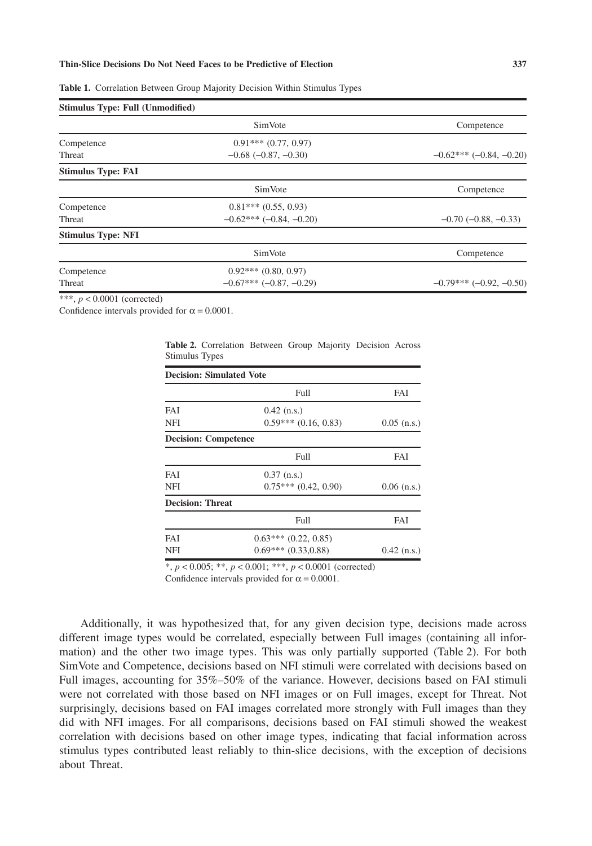| <b>Stimulus Type: Full (Unmodified)</b> |                          |                               |
|-----------------------------------------|--------------------------|-------------------------------|
|                                         | SimVote                  | Competence                    |
| Competence                              | $0.91***(0.77, 0.97)$    |                               |
| Threat                                  | $-0.68$ $(-0.87, -0.30)$ | $-0.62***(-0.84,-0.20)$       |
| <b>Stimulus Type: FAI</b>               |                          |                               |
|                                         | SimVote                  | Competence                    |
| Competence                              | $0.81***(0.55, 0.93)$    |                               |
| Threat                                  | $-0.62***(-0.84,-0.20)$  | $-0.70$ ( $-0.88$ , $-0.33$ ) |
| <b>Stimulus Type: NFI</b>               |                          |                               |
|                                         | SimVote                  | Competence                    |
| Competence                              | $0.92***(0.80, 0.97)$    |                               |
| Threat                                  | $-0.67***(-0.87,-0.29)$  | $-0.79***(-0.92,-0.50)$       |

**Table 1.** Correlation Between Group Majority Decision Within Stimulus Types

\*\*\*, *p* < 0.0001 (corrected)

Confidence intervals provided for  $\alpha = 0.0001$ .

**Table 2.** Correlation Between Group Majority Decision Across Stimulus Types

| <b>Decision: Simulated Vote</b> |                         |               |  |  |
|---------------------------------|-------------------------|---------------|--|--|
|                                 | Full                    | FAI           |  |  |
| FAI                             | $0.42$ (n.s.)           |               |  |  |
| NFI                             | $0.59***(0.16, 0.83)$   | $0.05$ (n.s.) |  |  |
| <b>Decision: Competence</b>     |                         |               |  |  |
|                                 | Full                    | FAI           |  |  |
| FAI                             | $0.37$ (n.s.)           |               |  |  |
| NFI                             | $0.75***(0.42, 0.90)$   | $0.06$ (n.s.) |  |  |
| <b>Decision: Threat</b>         |                         |               |  |  |
|                                 | Full                    | FAI           |  |  |
| FAI                             | $0.63***(0.22, 0.85)$   |               |  |  |
| NFI                             | $0.69***$ $(0.33.0.88)$ | $0.42$ (n.s.) |  |  |
|                                 |                         |               |  |  |

\*, *p* < 0.005; \*\*, *p* < 0.001; \*\*\*, *p* < 0.0001 (corrected)

Confidence intervals provided for  $\alpha = 0.0001$ .

Additionally, it was hypothesized that, for any given decision type, decisions made across different image types would be correlated, especially between Full images (containing all information) and the other two image types. This was only partially supported (Table 2). For both SimVote and Competence, decisions based on NFI stimuli were correlated with decisions based on Full images, accounting for  $35\% - 50\%$  of the variance. However, decisions based on FAI stimuli were not correlated with those based on NFI images or on Full images, except for Threat. Not surprisingly, decisions based on FAI images correlated more strongly with Full images than they did with NFI images. For all comparisons, decisions based on FAI stimuli showed the weakest correlation with decisions based on other image types, indicating that facial information across stimulus types contributed least reliably to thin-slice decisions, with the exception of decisions about Threat.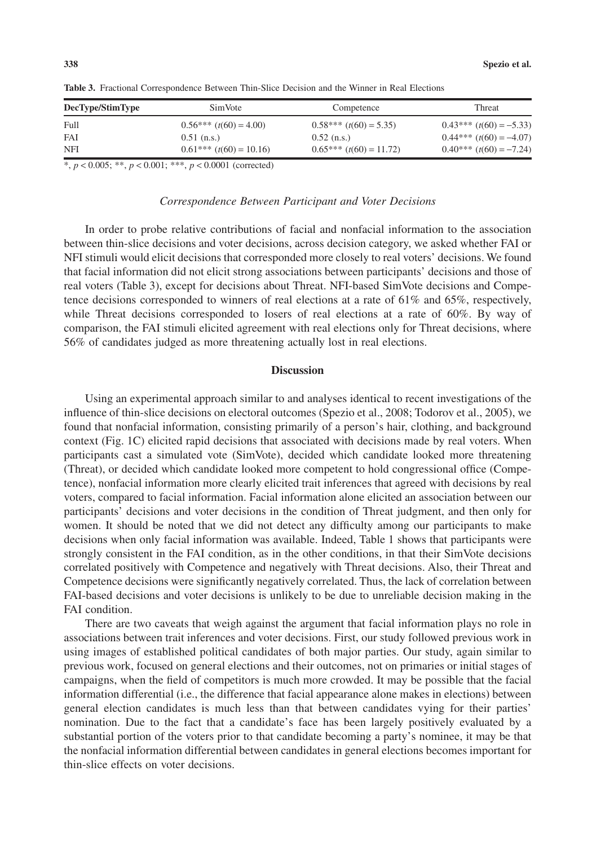| DecType/StimType | SimVote                     | Competence                  | Threat                      |
|------------------|-----------------------------|-----------------------------|-----------------------------|
| Full             | $0.56***$ $(t(60) = 4.00)$  | $0.58***$ $(t(60) = 5.35)$  | $0.43***$ $(t(60) = -5.33)$ |
| FAI              | $0.51$ (n.s.)               | $0.52$ (n.s.)               | $0.44***$ $(t(60) = -4.07)$ |
| NFI              | $0.61***$ $(t(60) = 10.16)$ | $0.65***$ $(t(60) = 11.72)$ | $0.40***$ $(t(60) = -7.24)$ |

**Table 3.** Fractional Correspondence Between Thin-Slice Decision and the Winner in Real Elections

\*, *p* < 0.005; \*\*, *p* < 0.001; \*\*\*, *p* < 0.0001 (corrected)

#### *Correspondence Between Participant and Voter Decisions*

In order to probe relative contributions of facial and nonfacial information to the association between thin-slice decisions and voter decisions, across decision category, we asked whether FAI or NFI stimuli would elicit decisions that corresponded more closely to real voters' decisions. We found that facial information did not elicit strong associations between participants' decisions and those of real voters (Table 3), except for decisions about Threat. NFI-based SimVote decisions and Competence decisions corresponded to winners of real elections at a rate of 61% and 65%, respectively, while Threat decisions corresponded to losers of real elections at a rate of 60%. By way of comparison, the FAI stimuli elicited agreement with real elections only for Threat decisions, where 56% of candidates judged as more threatening actually lost in real elections.

## **Discussion**

Using an experimental approach similar to and analyses identical to recent investigations of the influence of thin-slice decisions on electoral outcomes (Spezio et al., 2008; Todorov et al., 2005), we found that nonfacial information, consisting primarily of a person's hair, clothing, and background context (Fig. 1C) elicited rapid decisions that associated with decisions made by real voters. When participants cast a simulated vote (SimVote), decided which candidate looked more threatening (Threat), or decided which candidate looked more competent to hold congressional office (Competence), nonfacial information more clearly elicited trait inferences that agreed with decisions by real voters, compared to facial information. Facial information alone elicited an association between our participants' decisions and voter decisions in the condition of Threat judgment, and then only for women. It should be noted that we did not detect any difficulty among our participants to make decisions when only facial information was available. Indeed, Table 1 shows that participants were strongly consistent in the FAI condition, as in the other conditions, in that their SimVote decisions correlated positively with Competence and negatively with Threat decisions. Also, their Threat and Competence decisions were significantly negatively correlated. Thus, the lack of correlation between FAI-based decisions and voter decisions is unlikely to be due to unreliable decision making in the FAI condition.

There are two caveats that weigh against the argument that facial information plays no role in associations between trait inferences and voter decisions. First, our study followed previous work in using images of established political candidates of both major parties. Our study, again similar to previous work, focused on general elections and their outcomes, not on primaries or initial stages of campaigns, when the field of competitors is much more crowded. It may be possible that the facial information differential (i.e., the difference that facial appearance alone makes in elections) between general election candidates is much less than that between candidates vying for their parties' nomination. Due to the fact that a candidate's face has been largely positively evaluated by a substantial portion of the voters prior to that candidate becoming a party's nominee, it may be that the nonfacial information differential between candidates in general elections becomes important for thin-slice effects on voter decisions.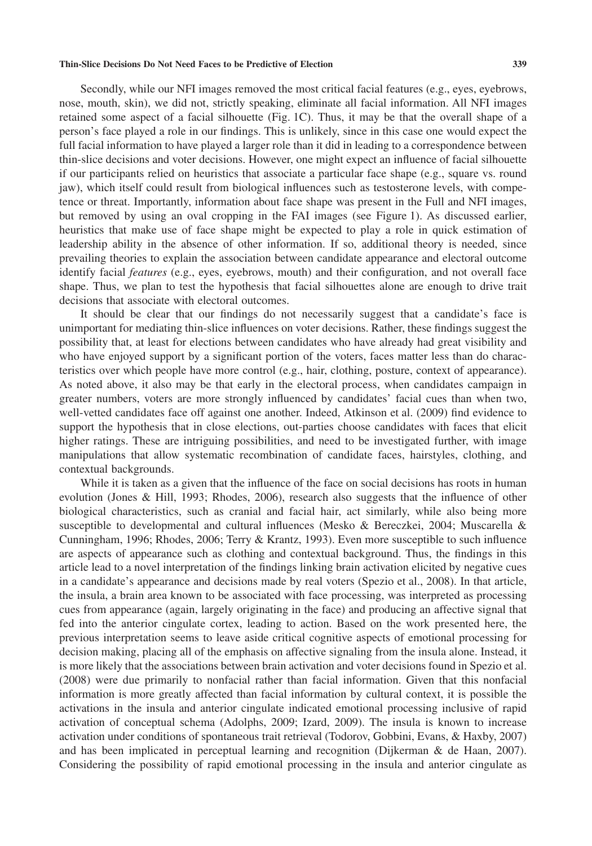Secondly, while our NFI images removed the most critical facial features (e.g., eyes, eyebrows, nose, mouth, skin), we did not, strictly speaking, eliminate all facial information. All NFI images retained some aspect of a facial silhouette (Fig. 1C). Thus, it may be that the overall shape of a person's face played a role in our findings. This is unlikely, since in this case one would expect the full facial information to have played a larger role than it did in leading to a correspondence between thin-slice decisions and voter decisions. However, one might expect an influence of facial silhouette if our participants relied on heuristics that associate a particular face shape (e.g., square vs. round jaw), which itself could result from biological influences such as testosterone levels, with competence or threat. Importantly, information about face shape was present in the Full and NFI images, but removed by using an oval cropping in the FAI images (see Figure 1). As discussed earlier, heuristics that make use of face shape might be expected to play a role in quick estimation of leadership ability in the absence of other information. If so, additional theory is needed, since prevailing theories to explain the association between candidate appearance and electoral outcome identify facial *features* (e.g., eyes, eyebrows, mouth) and their configuration, and not overall face shape. Thus, we plan to test the hypothesis that facial silhouettes alone are enough to drive trait decisions that associate with electoral outcomes.

It should be clear that our findings do not necessarily suggest that a candidate's face is unimportant for mediating thin-slice influences on voter decisions. Rather, these findings suggest the possibility that, at least for elections between candidates who have already had great visibility and who have enjoyed support by a significant portion of the voters, faces matter less than do characteristics over which people have more control (e.g., hair, clothing, posture, context of appearance). As noted above, it also may be that early in the electoral process, when candidates campaign in greater numbers, voters are more strongly influenced by candidates' facial cues than when two, well-vetted candidates face off against one another. Indeed, Atkinson et al. (2009) find evidence to support the hypothesis that in close elections, out-parties choose candidates with faces that elicit higher ratings. These are intriguing possibilities, and need to be investigated further, with image manipulations that allow systematic recombination of candidate faces, hairstyles, clothing, and contextual backgrounds.

While it is taken as a given that the influence of the face on social decisions has roots in human evolution (Jones & Hill, 1993; Rhodes, 2006), research also suggests that the influence of other biological characteristics, such as cranial and facial hair, act similarly, while also being more susceptible to developmental and cultural influences (Mesko & Bereczkei, 2004; Muscarella & Cunningham, 1996; Rhodes, 2006; Terry & Krantz, 1993). Even more susceptible to such influence are aspects of appearance such as clothing and contextual background. Thus, the findings in this article lead to a novel interpretation of the findings linking brain activation elicited by negative cues in a candidate's appearance and decisions made by real voters (Spezio et al., 2008). In that article, the insula, a brain area known to be associated with face processing, was interpreted as processing cues from appearance (again, largely originating in the face) and producing an affective signal that fed into the anterior cingulate cortex, leading to action. Based on the work presented here, the previous interpretation seems to leave aside critical cognitive aspects of emotional processing for decision making, placing all of the emphasis on affective signaling from the insula alone. Instead, it is more likely that the associations between brain activation and voter decisions found in Spezio et al. (2008) were due primarily to nonfacial rather than facial information. Given that this nonfacial information is more greatly affected than facial information by cultural context, it is possible the activations in the insula and anterior cingulate indicated emotional processing inclusive of rapid activation of conceptual schema (Adolphs, 2009; Izard, 2009). The insula is known to increase activation under conditions of spontaneous trait retrieval (Todorov, Gobbini, Evans, & Haxby, 2007) and has been implicated in perceptual learning and recognition (Dijkerman & de Haan, 2007). Considering the possibility of rapid emotional processing in the insula and anterior cingulate as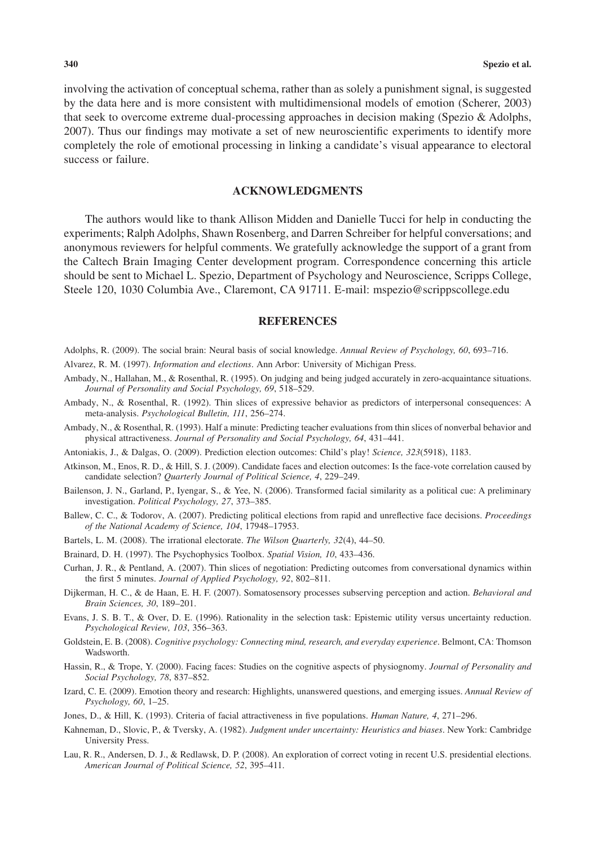involving the activation of conceptual schema, rather than as solely a punishment signal, is suggested by the data here and is more consistent with multidimensional models of emotion (Scherer, 2003) that seek to overcome extreme dual-processing approaches in decision making (Spezio & Adolphs, 2007). Thus our findings may motivate a set of new neuroscientific experiments to identify more completely the role of emotional processing in linking a candidate's visual appearance to electoral success or failure.

# **ACKNOWLEDGMENTS**

The authors would like to thank Allison Midden and Danielle Tucci for help in conducting the experiments; Ralph Adolphs, Shawn Rosenberg, and Darren Schreiber for helpful conversations; and anonymous reviewers for helpful comments. We gratefully acknowledge the support of a grant from the Caltech Brain Imaging Center development program. Correspondence concerning this article should be sent to Michael L. Spezio, Department of Psychology and Neuroscience, Scripps College, Steele 120, 1030 Columbia Ave., Claremont, CA 91711. E-mail: mspezio@scrippscollege.edu

#### **REFERENCES**

- Adolphs, R. (2009). The social brain: Neural basis of social knowledge. *Annual Review of Psychology, 60*, 693–716.
- Alvarez, R. M. (1997). *Information and elections*. Ann Arbor: University of Michigan Press.
- Ambady, N., Hallahan, M., & Rosenthal, R. (1995). On judging and being judged accurately in zero-acquaintance situations. *Journal of Personality and Social Psychology, 69*, 518–529.
- Ambady, N., & Rosenthal, R. (1992). Thin slices of expressive behavior as predictors of interpersonal consequences: A meta-analysis. *Psychological Bulletin, 111*, 256–274.
- Ambady, N., & Rosenthal, R. (1993). Half a minute: Predicting teacher evaluations from thin slices of nonverbal behavior and physical attractiveness. *Journal of Personality and Social Psychology, 64*, 431–441.
- Antoniakis, J., & Dalgas, O. (2009). Prediction election outcomes: Child's play! *Science, 323*(5918), 1183.
- Atkinson, M., Enos, R. D., & Hill, S. J. (2009). Candidate faces and election outcomes: Is the face-vote correlation caused by candidate selection? *Quarterly Journal of Political Science, 4*, 229–249.
- Bailenson, J. N., Garland, P., Iyengar, S., & Yee, N. (2006). Transformed facial similarity as a political cue: A preliminary investigation. *Political Psychology, 27*, 373–385.
- Ballew, C. C., & Todorov, A. (2007). Predicting political elections from rapid and unreflective face decisions. *Proceedings of the National Academy of Science, 104*, 17948–17953.
- Bartels, L. M. (2008). The irrational electorate. *The Wilson Quarterly, 32*(4), 44–50.
- Brainard, D. H. (1997). The Psychophysics Toolbox. *Spatial Vision, 10*, 433–436.
- Curhan, J. R., & Pentland, A. (2007). Thin slices of negotiation: Predicting outcomes from conversational dynamics within the first 5 minutes. *Journal of Applied Psychology, 92*, 802–811.
- Dijkerman, H. C., & de Haan, E. H. F. (2007). Somatosensory processes subserving perception and action. *Behavioral and Brain Sciences, 30*, 189–201.
- Evans, J. S. B. T., & Over, D. E. (1996). Rationality in the selection task: Epistemic utility versus uncertainty reduction. *Psychological Review, 103*, 356–363.
- Goldstein, E. B. (2008). *Cognitive psychology: Connecting mind, research, and everyday experience*. Belmont, CA: Thomson Wadsworth.
- Hassin, R., & Trope, Y. (2000). Facing faces: Studies on the cognitive aspects of physiognomy. *Journal of Personality and Social Psychology, 78*, 837–852.
- Izard, C. E. (2009). Emotion theory and research: Highlights, unanswered questions, and emerging issues. *Annual Review of Psychology, 60*, 1–25.
- Jones, D., & Hill, K. (1993). Criteria of facial attractiveness in five populations. *Human Nature, 4*, 271–296.
- Kahneman, D., Slovic, P., & Tversky, A. (1982). *Judgment under uncertainty: Heuristics and biases*. New York: Cambridge University Press.
- Lau, R. R., Andersen, D. J., & Redlawsk, D. P. (2008). An exploration of correct voting in recent U.S. presidential elections. *American Journal of Political Science, 52*, 395–411.